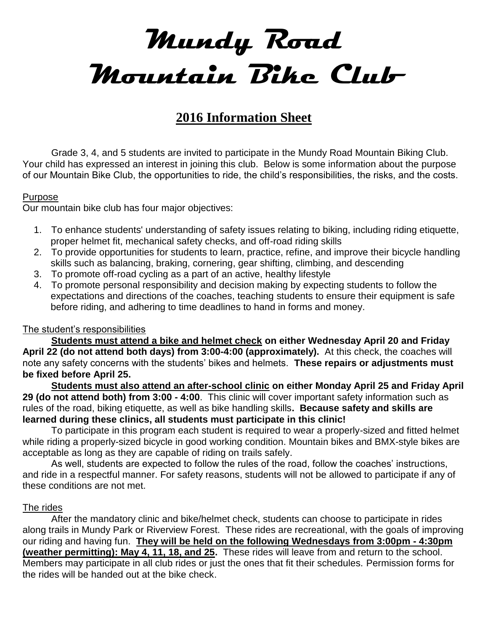# **Mundy Road Mountain Bike Club**

# **2016 Information Sheet**

Grade 3, 4, and 5 students are invited to participate in the Mundy Road Mountain Biking Club. Your child has expressed an interest in joining this club. Below is some information about the purpose of our Mountain Bike Club, the opportunities to ride, the child's responsibilities, the risks, and the costs.

#### Purpose

Our mountain bike club has four major objectives:

- 1. To enhance students' understanding of safety issues relating to biking, including riding etiquette, proper helmet fit, mechanical safety checks, and off-road riding skills
- 2. To provide opportunities for students to learn, practice, refine, and improve their bicycle handling skills such as balancing, braking, cornering, gear shifting, climbing, and descending
- 3. To promote off-road cycling as a part of an active, healthy lifestyle
- 4. To promote personal responsibility and decision making by expecting students to follow the expectations and directions of the coaches, teaching students to ensure their equipment is safe before riding, and adhering to time deadlines to hand in forms and money.

#### The student's responsibilities

**Students must attend a bike and helmet check on either Wednesday April 20 and Friday April 22 (do not attend both days) from 3:00-4:00 (approximately).** At this check, the coaches will note any safety concerns with the students' bikes and helmets. **These repairs or adjustments must be fixed before April 25.**

**Students must also attend an after-school clinic on either Monday April 25 and Friday April 29 (do not attend both) from 3:00 - 4:00**. This clinic will cover important safety information such as rules of the road, biking etiquette, as well as bike handling skills**. Because safety and skills are learned during these clinics, all students must participate in this clinic!**

To participate in this program each student is required to wear a properly-sized and fitted helmet while riding a properly-sized bicycle in good working condition. Mountain bikes and BMX-style bikes are acceptable as long as they are capable of riding on trails safely.

As well, students are expected to follow the rules of the road, follow the coaches' instructions, and ride in a respectful manner. For safety reasons, students will not be allowed to participate if any of these conditions are not met.

#### The rides

After the mandatory clinic and bike/helmet check, students can choose to participate in rides along trails in Mundy Park or Riverview Forest. These rides are recreational, with the goals of improving our riding and having fun. **They will be held on the following Wednesdays from 3:00pm - 4:30pm (weather permitting): May 4, 11, 18, and 25.** These rides will leave from and return to the school. Members may participate in all club rides or just the ones that fit their schedules. Permission forms for the rides will be handed out at the bike check.